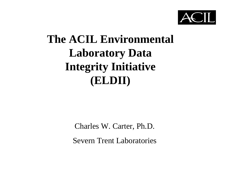

#### **The ACIL Environmental Laboratory Data Integrity Initiative (ELDII)**

Charles W. Carter, Ph.D.

Severn Trent Laboratories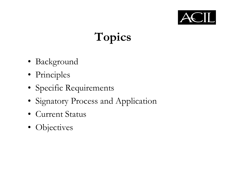

# **Topics**

- Background
- Principles
- Specific Requirements
- Signatory Process and Application
- Current Status
- Objectives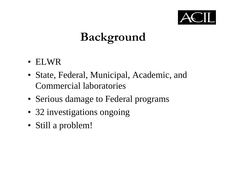

# **Background**

- ELWR
- State, Federal, Municipal, Academic, and Commercial laboratories
- Serious damage to Federal programs
- 32 investigations ongoing
- Still a problem!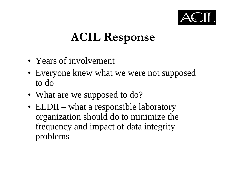

# **ACIL Response**

- Years of involvement
- Everyone knew what we were not supposed to do
- What are we supposed to do?
- ELDII what a responsible laboratory organization should do to minimize the frequency and impact of data integrity problems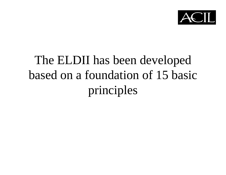

# The ELDII has been developed based on a foundation of 15 basic principles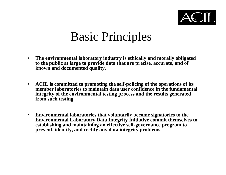

- • **The environmental laboratory industry is ethically and morally obligated to the public at large to provide data that are precise, accurate, and of known and documented quality.**
- **ACIL is committed to promoting the self-policing of the operations of its member laboratories to maintain data user confidence in the fundamentalintegrity of the environmental testing process and the results generated from such testing.**
- $\bullet$  **Environmental laboratories that voluntarily become signatories to the Environmental Laboratory Data Integrity Initiative commit themselves to establishing and maintaining an effective self-governance program to prevent, identify, and rectify any data integrity problems.**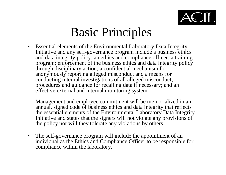

• Essential elements of the Environmental Laboratory Data Integrity Initiative and any self-governance program include a business ethics and data integrity policy; an ethics and compliance officer; a training program; enforcement of the business ethics and data integrity policy through disciplinary action; a confidential mechanism for anonymously reporting alleged misconduct and a means for conducting internal investigations of all alleged misconduct; procedures and guidance for recalling data if necessary; and an effective external and internal monitoring system.

Management and employee commitment will be memorialized in an annual, signed code of business ethics and data integrity that reflects the essential elements of the Environmental Laboratory Data Integrity Initiative and states that the signers will not violate any provisions of the policy nor will they tolerate any violations by others.

• The self-governance program will include the appointment of an individual as the Ethics and Compliance Officer to be responsible for compliance within the laboratory.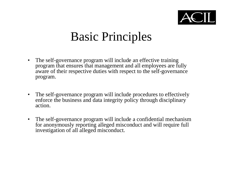

- The self-governance program will include an effective training program that ensures that management and all employees are fully aware of their respective duties with respect to the self-governance program.
- The self-governance program will include procedures to effectively enforce the business and data integrity policy through disciplinary action.
- The self-governance program will include a confidential mechanism for anonymously reporting alleged misconduct and will require full investigation of all alleged misconduct.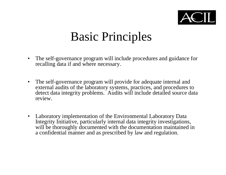

- • The self-governance program will include procedures and guidance for recalling data if and where necessary.
- $\bullet$  The self-governance program will provide for adequate internal and external audits of the laboratory systems, practices, and procedures to detect data integrity problems. Audits will include detailed source data review.
- Laboratory implementation of the Environmental Laboratory Data Integrity Initiative, particularly internal data integrity investigations, will be thoroughly documented with the documentation maintained in a confidential manner and as prescribed by law and regulation.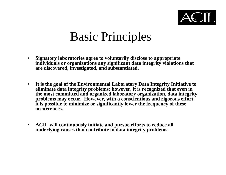

- • **Signatory laboratories agree to voluntarily disclose to appropriate individuals or organizations any significant data integrity violations that are discovered, investigated, and substantiated.**
- $\bullet$  **It is the goal of the Environmental Laboratory Data Integrity Initiative to eliminate data integrity problems; however, it is recognized that even in the most committed and organized laboratory organization, data integrity problems may occur. However, with a conscientious and rigorous effort, it is possible to minimize or significantly lower the frequency of these occurrences.**
- **ACIL will continuously initiate and pursue efforts to reduce all underlying causes that contribute to data integrity problems.**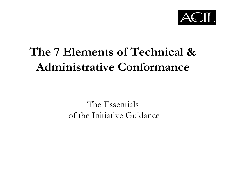

### **The 7 Elements of Technical &Administrative Conformance**

The Essentials of the Initiative Guidance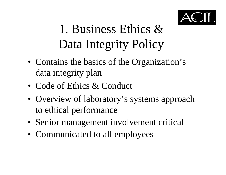

# 1. Business Ethics &Data Integrity Policy

- Contains the basics of the Organization's data integrity plan
- Code of Ethics & Conduct
- Overview of laboratory's systems approach to ethical performance
- Senior management involvement critical
- Communicated to all employees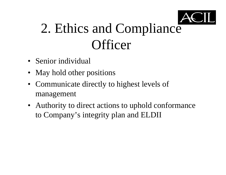

# 2. Ethics and Compliance **Officer**

- Senior individual
- May hold other positions
- Communicate directly to highest levels of management
- Authority to direct actions to uphold conformance to Company's integrity plan and ELDII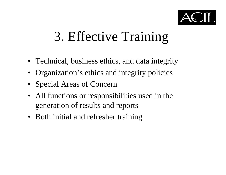

# 3. Effective Training

- Technical, business ethics, and data integrity
- Organization's ethics and integrity policies
- Special Areas of Concern
- All functions or responsibilities used in the generation of results and reports
- Both initial and refresher training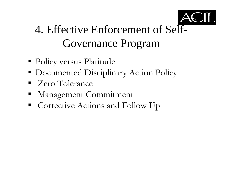

#### 4. Effective Enforcement of Self-Governance Program

- Policy versus Platitude
- Documented Disciplinary Action Policy
- Zero Tolerance
- Management Commitment
- Corrective Actions and Follow Up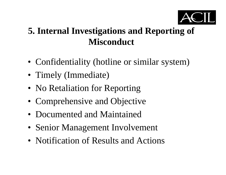

#### **5. Internal Investigations and Reporting of Misconduct**

- Confidentiality (hotline or similar system)
- Timely (Immediate)
- No Retaliation for Reporting
- Comprehensive and Objective
- Documented and Maintained
- Senior Management Involvement
- Notification of Results and Actions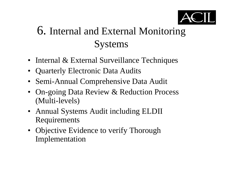

#### 6. Internal and External Monitoring **Systems**

- Internal & External Surveillance Techniques
- Quarterly Electronic Data Audits
- Semi-Annual Comprehensive Data Audit
- On-going Data Review & Reduction Process (Multi-levels)
- Annual Systems Audit including ELDII Requirements
- Objective Evidence to verify Thorough Implementation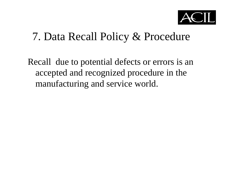

#### 7. Data Recall Policy & Procedure

Recall due to potential defects or errors is an accepted and recognized procedure in the manufacturing and service world.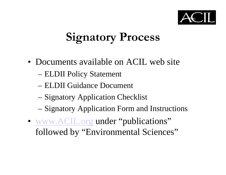

# **Signatory Process**

- Documents available on ACIL web site
	- ELDII Policy Statement
	- ELDII Guidance Document
	- Signatory Application Checklist
	- Signatory Application Form and Instructions
- www.ACIL.org under "publications" followed by "Environmental Sciences"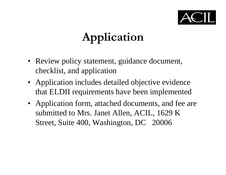

# **Application**

- Review policy statement, guidance document, checklist, and application
- Application includes detailed objective evidence that ELDII requirements have been implemented
- Application form, attached documents, and fee are submitted to Mrs. Janet Allen, ACIL, 1629 K Street, Suite 400, Washington, DC 20006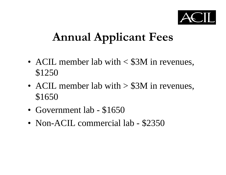

### **Annual Applicant Fees**

- • ACIL member lab with < \$3M in revenues, \$1250
- • ACIL member lab with > \$3M in revenues, \$1650
- •Government lab - \$1650
- •Non-ACIL commercial lab - \$2350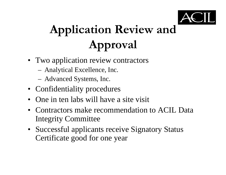

# **Application Review and Approval**

- Two application review contractors
	- –Analytical Excellence, Inc.
	- –Advanced Systems, Inc.
- Confidentiality procedures
- •One in ten labs will have a site visit
- • Contractors make recommendation to ACIL DataIntegrity Committee
- Successful applicants receive Signatory Status Certificate good for one year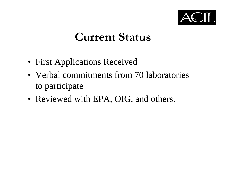

#### **Current Status**

- First Applications Received
- Verbal commitments from 70 laboratories to participate
- Reviewed with EPA, OIG, and others.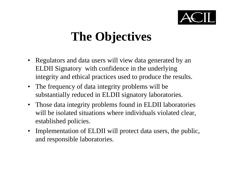

# **The Objectives**

- Regulators and data users will view data generated by an ELDII Signatory with confidence in the underlying integrity and ethical practices used to produce the results.
- The frequency of data integrity problems will be substantially reduced in ELDII signatory laboratories.
- $\bullet$  Those data integrity problems found in ELDII laboratories will be isolated situations where individuals violated clear, established policies.
- Implementation of ELDII will protect data users, the public, and responsible laboratories.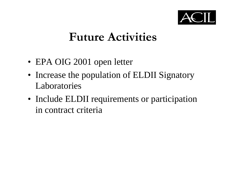

#### **Future Activities**

- EPA OIG 2001 open letter
- Increase the population of ELDII Signatory Laboratories
- Include ELDII requirements or participation in contract criteria